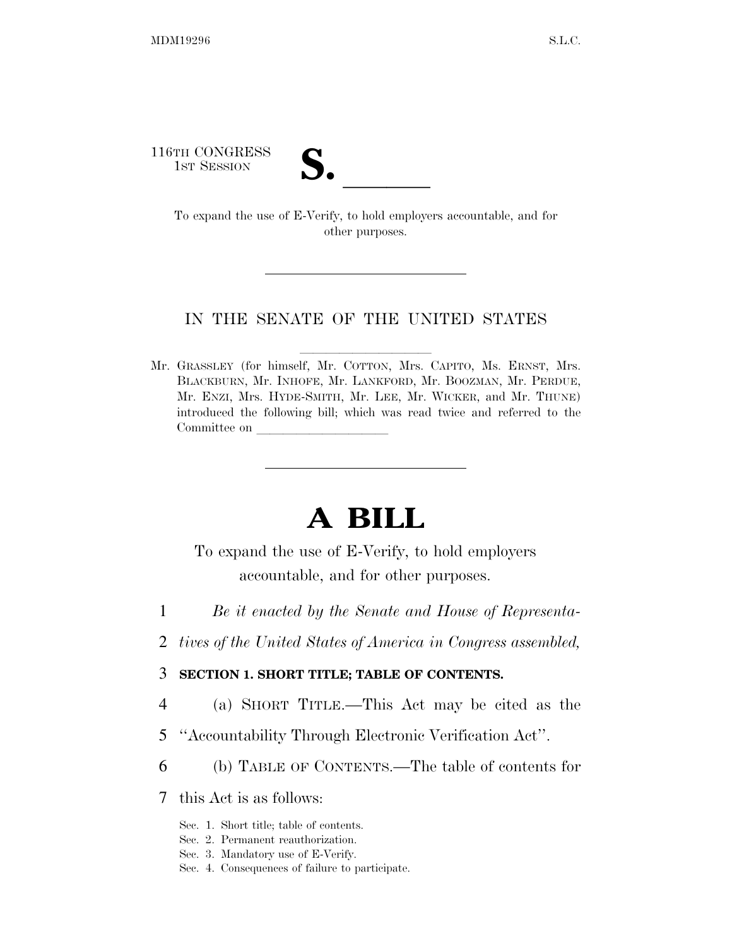116TH CONGRESS

TH CONGRESS<br>
1st Session<br>
To expand the use of E-Verify, to hold employers accountable, and for other purposes.

#### IN THE SENATE OF THE UNITED STATES

Mr. GRASSLEY (for himself, Mr. COTTON, Mrs. CAPITO, Ms. ERNST, Mrs. BLACKBURN, Mr. INHOFE, Mr. LANKFORD, Mr. BOOZMAN, Mr. PERDUE, Mr. ENZI, Mrs. HYDE-SMITH, Mr. LEE, Mr. WICKER, and Mr. THUNE) introduced the following bill; which was read twice and referred to the Committee on

# **A BILL**

To expand the use of E-Verify, to hold employers accountable, and for other purposes.

- 1 *Be it enacted by the Senate and House of Representa-*
- 2 *tives of the United States of America in Congress assembled,*

## 3 **SECTION 1. SHORT TITLE; TABLE OF CONTENTS.**

- 4 (a) SHORT TITLE.—This Act may be cited as the
- 5 ''Accountability Through Electronic Verification Act''.
- 6 (b) TABLE OF CONTENTS.—The table of contents for

7 this Act is as follows:

- Sec. 1. Short title; table of contents.
- Sec. 2. Permanent reauthorization.
- Sec. 3. Mandatory use of E-Verify.
- Sec. 4. Consequences of failure to participate.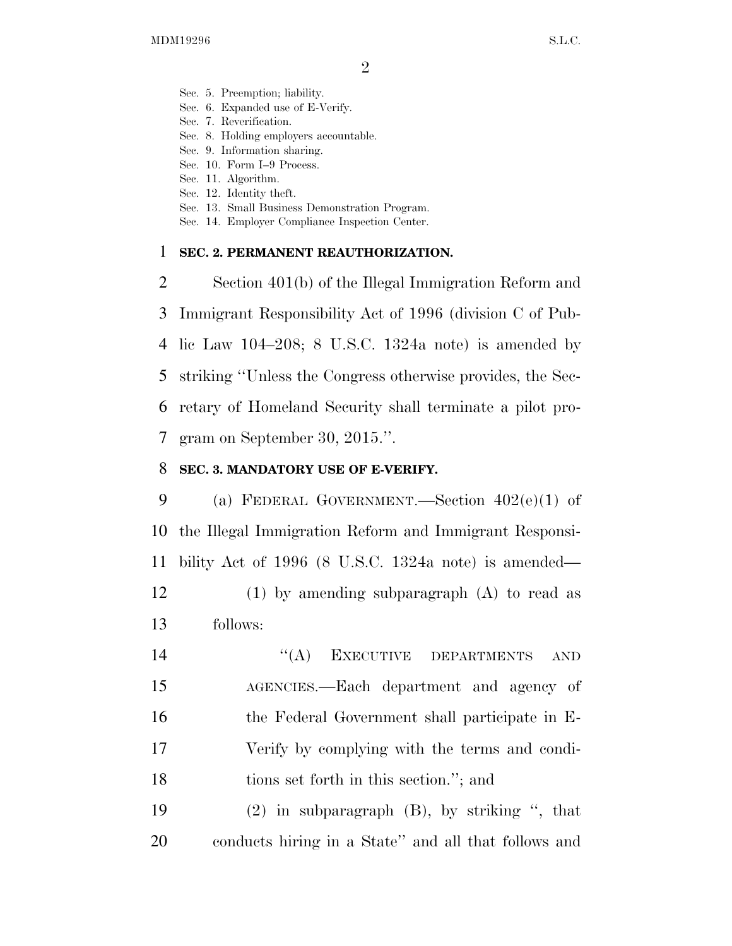- Sec. 5. Preemption; liability.
- Sec. 6. Expanded use of E-Verify.
- Sec. 7. Reverification.
- Sec. 8. Holding employers accountable.
- Sec. 9. Information sharing.
- Sec. 10. Form I–9 Process.
- Sec. 11. Algorithm.
- Sec. 12. Identity theft.
- Sec. 13. Small Business Demonstration Program.
- Sec. 14. Employer Compliance Inspection Center.

## **SEC. 2. PERMANENT REAUTHORIZATION.**

 Section 401(b) of the Illegal Immigration Reform and Immigrant Responsibility Act of 1996 (division C of Pub- lic Law 104–208; 8 U.S.C. 1324a note) is amended by striking ''Unless the Congress otherwise provides, the Sec- retary of Homeland Security shall terminate a pilot pro-gram on September 30, 2015.''.

# **SEC. 3. MANDATORY USE OF E-VERIFY.**

 (a) FEDERAL GOVERNMENT.—Section 402(e)(1) of the Illegal Immigration Reform and Immigrant Responsi-bility Act of 1996 (8 U.S.C. 1324a note) is amended—

 (1) by amending subparagraph (A) to read as follows:

14 "(A) EXECUTIVE DEPARTMENTS AND AGENCIES.—Each department and agency of the Federal Government shall participate in E- Verify by complying with the terms and condi-tions set forth in this section.''; and

 (2) in subparagraph (B), by striking '', that conducts hiring in a State'' and all that follows and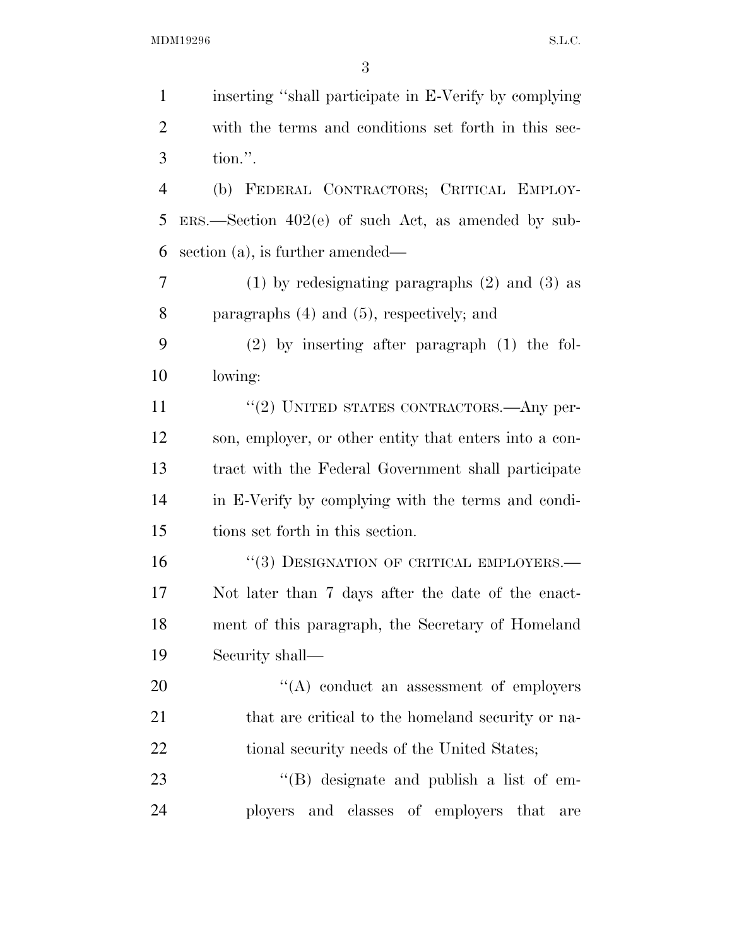| $\mathbf{1}$   | inserting "shall participate in E-Verify by complying   |
|----------------|---------------------------------------------------------|
| $\overline{c}$ | with the terms and conditions set forth in this sec-    |
| 3              | tion.".                                                 |
| $\overline{4}$ | (b) FEDERAL CONTRACTORS; CRITICAL EMPLOY-               |
| 5              | $ERS.$ Section $402(e)$ of such Act, as amended by sub- |
| 6              | section (a), is further amended—                        |
| 7              | $(1)$ by redesignating paragraphs $(2)$ and $(3)$ as    |
| 8              | paragraphs $(4)$ and $(5)$ , respectively; and          |
| 9              | $(2)$ by inserting after paragraph $(1)$ the fol-       |
| 10             | lowing:                                                 |
| 11             | $``(2)$ UNITED STATES CONTRACTORS.—Any per-             |
| 12             | son, employer, or other entity that enters into a con-  |
| 13             | tract with the Federal Government shall participate     |
| 14             | in E-Verify by complying with the terms and condi-      |
| 15             | tions set forth in this section.                        |
| 16             | $``(3)$ DESIGNATION OF CRITICAL EMPLOYERS.—             |
| 17             | Not later than 7 days after the date of the enact-      |
| 18             | ment of this paragraph, the Secretary of Homeland       |
| 19             | Security shall—                                         |
| 20             | "(A) conduct an assessment of employers                 |
| 21             | that are critical to the homeland security or na-       |
| 22             | tional security needs of the United States;             |
| 23             | "(B) designate and publish a list of em-                |
| 24             | ployers and classes of employers that<br>are            |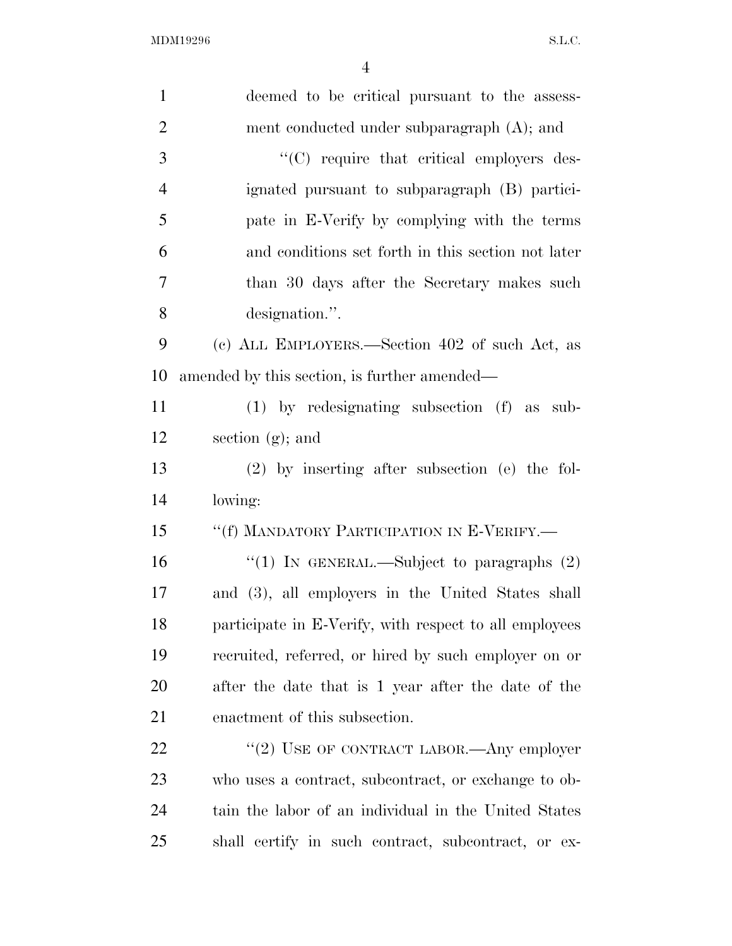| $\mathbf{1}$   | deemed to be critical pursuant to the assess-          |
|----------------|--------------------------------------------------------|
| $\overline{2}$ | ment conducted under subparagraph (A); and             |
| 3              | $\lq\lq$ require that critical employers des-          |
| $\overline{4}$ | ignated pursuant to subparagraph (B) partici-          |
| 5              | pate in E-Verify by complying with the terms           |
| 6              | and conditions set forth in this section not later     |
| $\overline{7}$ | than 30 days after the Secretary makes such            |
| 8              | designation.".                                         |
| 9              | (c) ALL EMPLOYERS.—Section 402 of such Act, as         |
| 10             | amended by this section, is further amended—           |
| 11             | $(1)$ by redesignating subsection $(f)$ as sub-        |
| 12             | section $(g)$ ; and                                    |
| 13             | $(2)$ by inserting after subsection (e) the fol-       |
| 14             | lowing:                                                |
| 15             | "(f) MANDATORY PARTICIPATION IN E-VERIFY.—             |
| 16             | "(1) IN GENERAL.—Subject to paragraphs $(2)$           |
| 17             | and (3), all employers in the United States shall      |
| 18             | participate in E-Verify, with respect to all employees |
| 19             | recruited, referred, or hired by such employer on or   |
| 20             | after the date that is 1 year after the date of the    |
| 21             | enactment of this subsection.                          |
| 22             | "(2) USE OF CONTRACT LABOR.—Any employer               |
| 23             | who uses a contract, subcontract, or exchange to ob-   |
| 24             | tain the labor of an individual in the United States   |
| 25             | shall certify in such contract, subcontract, or ex-    |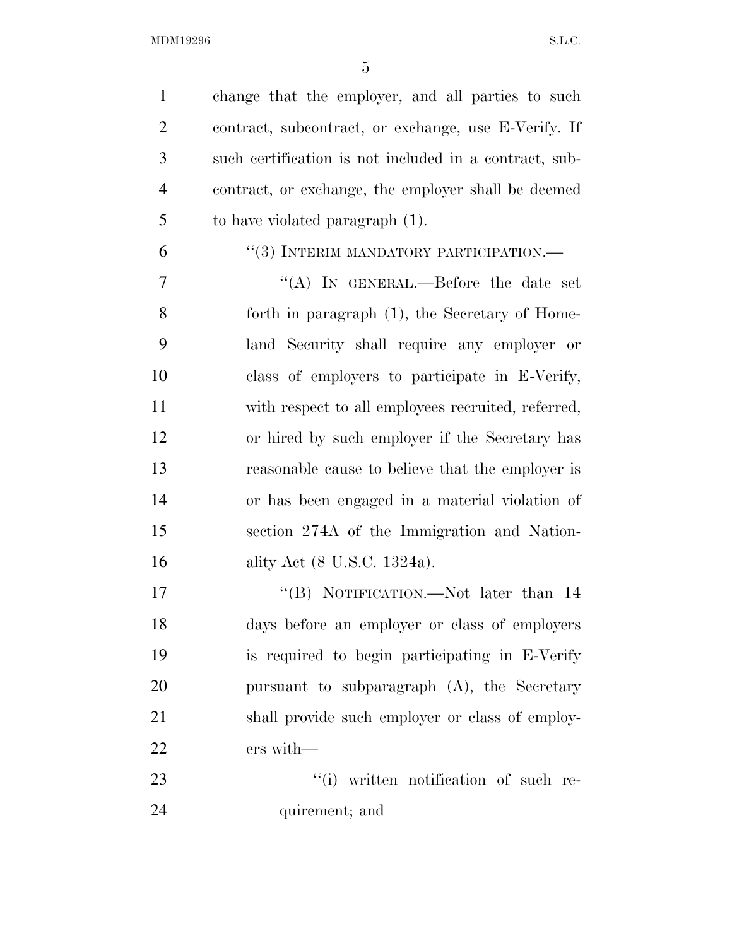change that the employer, and all parties to such contract, subcontract, or exchange, use E-Verify. If such certification is not included in a contract, sub- contract, or exchange, the employer shall be deemed to have violated paragraph (1).

6 "(3) INTERIM MANDATORY PARTICIPATION.—

 ''(A) IN GENERAL.—Before the date set forth in paragraph (1), the Secretary of Home- land Security shall require any employer or class of employers to participate in E-Verify, with respect to all employees recruited, referred, or hired by such employer if the Secretary has reasonable cause to believe that the employer is or has been engaged in a material violation of section 274A of the Immigration and Nation-ality Act (8 U.S.C. 1324a).

17 "'(B) NOTIFICATION.—Not later than 14 days before an employer or class of employers is required to begin participating in E-Verify pursuant to subparagraph (A), the Secretary 21 shall provide such employer or class of employ-ers with—

23  $\frac{1}{1}$  written notification of such re-24 quirement; and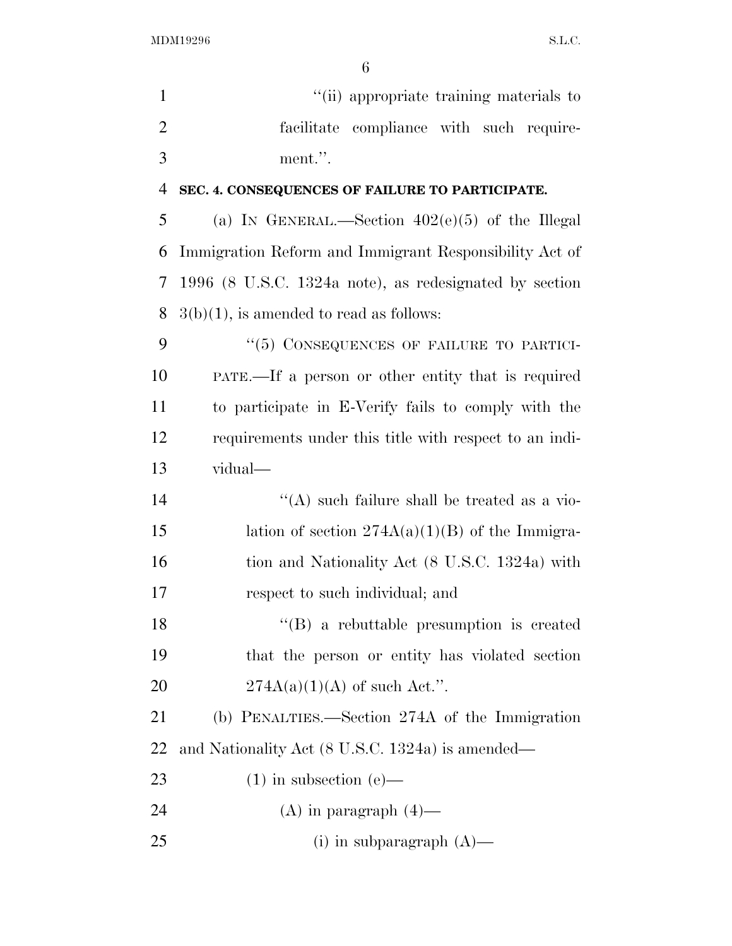6

1  $"$ (ii) appropriate training materials to 2 facilitate compliance with such require-3 ment.''.

## 4 **SEC. 4. CONSEQUENCES OF FAILURE TO PARTICIPATE.**

5 (a) IN GENERAL.—Section  $402(e)(5)$  of the Illegal Immigration Reform and Immigrant Responsibility Act of 1996 (8 U.S.C. 1324a note), as redesignated by section  $3(b)(1)$ , is amended to read as follows:

9 "(5) CONSEQUENCES OF FAILURE TO PARTICI-10 PATE.—If a person or other entity that is required 11 to participate in E-Verify fails to comply with the 12 requirements under this title with respect to an indi-13 vidual—

14  $\langle (A)$  such failure shall be treated as a vio-15 lation of section  $274A(a)(1)(B)$  of the Immigra-16 tion and Nationality Act (8 U.S.C. 1324a) with 17 respect to such individual; and

18 ''(B) a rebuttable presumption is created 19 that the person or entity has violated section 20  $274A(a)(1)(A)$  of such Act.".

21 (b) PENALTIES.—Section 274A of the Immigration 22 and Nationality Act (8 U.S.C. 1324a) is amended—

23 (1) in subsection  $(e)$ —

24 (A) in paragraph  $(4)$ —

25 (i) in subparagraph  $(A)$ —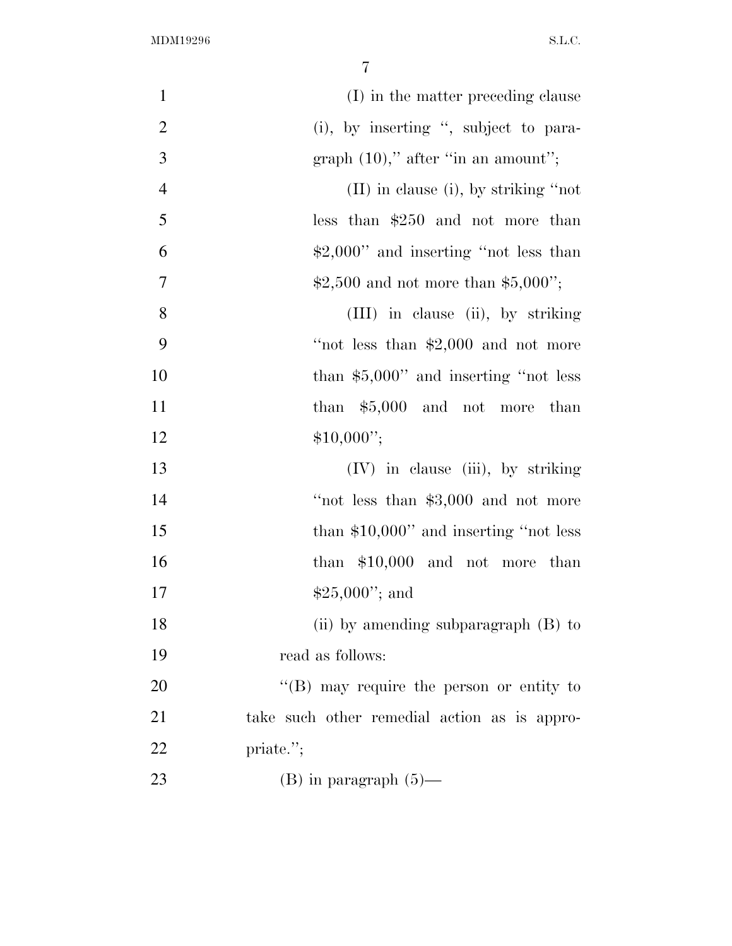| $\mathbf{1}$   | (I) in the matter preceding clause               |
|----------------|--------------------------------------------------|
| $\overline{2}$ | (i), by inserting ", subject to para-            |
| 3              | graph $(10)$ ," after "in an amount";            |
| $\overline{4}$ | $(II)$ in clause (i), by striking "not           |
| 5              | less than $$250$ and not more than               |
| 6              | $$2,000"$ and inserting "not less than           |
| $\overline{7}$ | \$2,500 and not more than \$5,000";              |
| 8              | (III) in clause (ii), by striking                |
| 9              | "not less than $$2,000$ and not more             |
| 10             | than $$5,000"$ and inserting "not less           |
| 11             | than $$5,000$ and not more than                  |
| 12             | $$10,000$ ";                                     |
| 13             | (IV) in clause (iii), by striking                |
| 14             | "not less than \$3,000 and not more              |
| 15             | than $$10,000$ " and inserting "not less         |
| 16             | than $$10,000$ and not more than                 |
| 17             | $$25,000$ "; and                                 |
| 18             | (ii) by amending subparagraph $(B)$ to           |
| 19             | read as follows:                                 |
| 20             | $\lq\lq (B)$ may require the person or entity to |
| 21             | take such other remedial action as is appro-     |
| 22             | priate.";                                        |
| 23             | $(B)$ in paragraph $(5)$ —                       |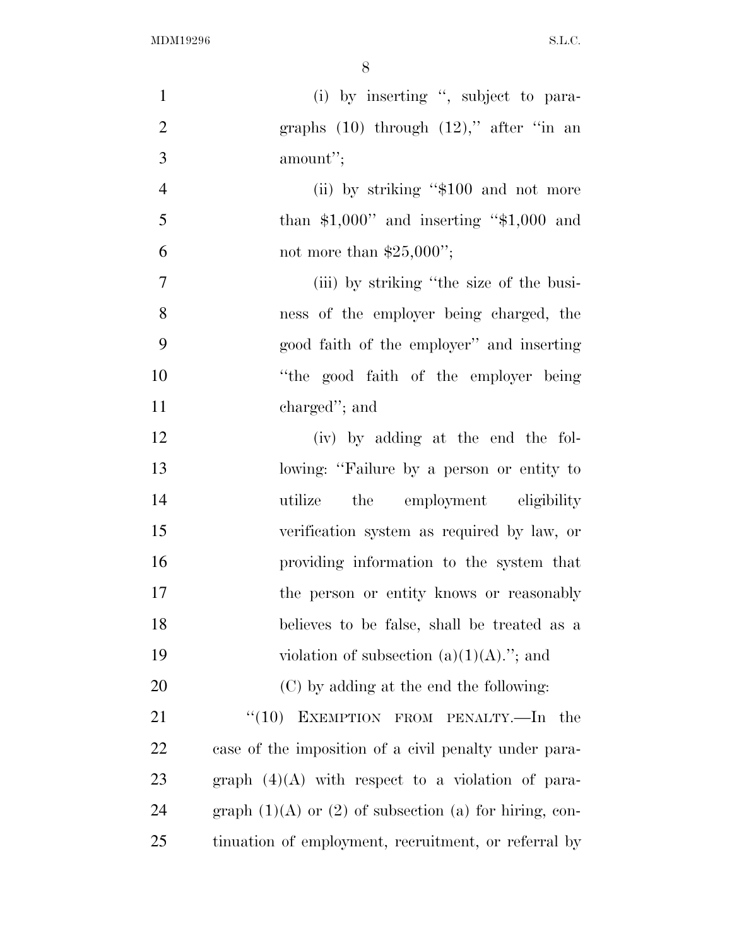| $\mathbf{1}$   | (i) by inserting ", subject to para-                         |
|----------------|--------------------------------------------------------------|
| $\overline{2}$ | graphs $(10)$ through $(12)$ ," after "in an                 |
| 3              | amount";                                                     |
| $\overline{4}$ | (ii) by striking "\$100 and not more                         |
| 5              | than $$1,000"$ and inserting " $$1,000$ and                  |
| 6              | not more than $$25,000$ ";                                   |
| $\tau$         | (iii) by striking "the size of the busi-                     |
| 8              | ness of the employer being charged, the                      |
| 9              | good faith of the employer" and inserting                    |
| 10             | "the good faith of the employer being                        |
| 11             | charged"; and                                                |
| 12             | (iv) by adding at the end the fol-                           |
| 13             | lowing: "Failure by a person or entity to                    |
| 14             | utilize<br>the employment eligibility                        |
| 15             | verification system as required by law, or                   |
| 16             | providing information to the system that                     |
| 17             | the person or entity knows or reasonably                     |
| 18             | believes to be false, shall be treated as a                  |
| 19             | violation of subsection $(a)(1)(A)$ ."; and                  |
| 20             | (C) by adding at the end the following:                      |
| 21             | $\cdot$ (10) EXEMPTION FROM PENALTY.—In the                  |
| 22             | case of the imposition of a civil penalty under para-        |
| 23             | graph $(4)(A)$ with respect to a violation of para-          |
| 24             | graph $(1)(A)$ or $(2)$ of subsection $(a)$ for hiring, con- |
| 25             | tinuation of employment, recruitment, or referral by         |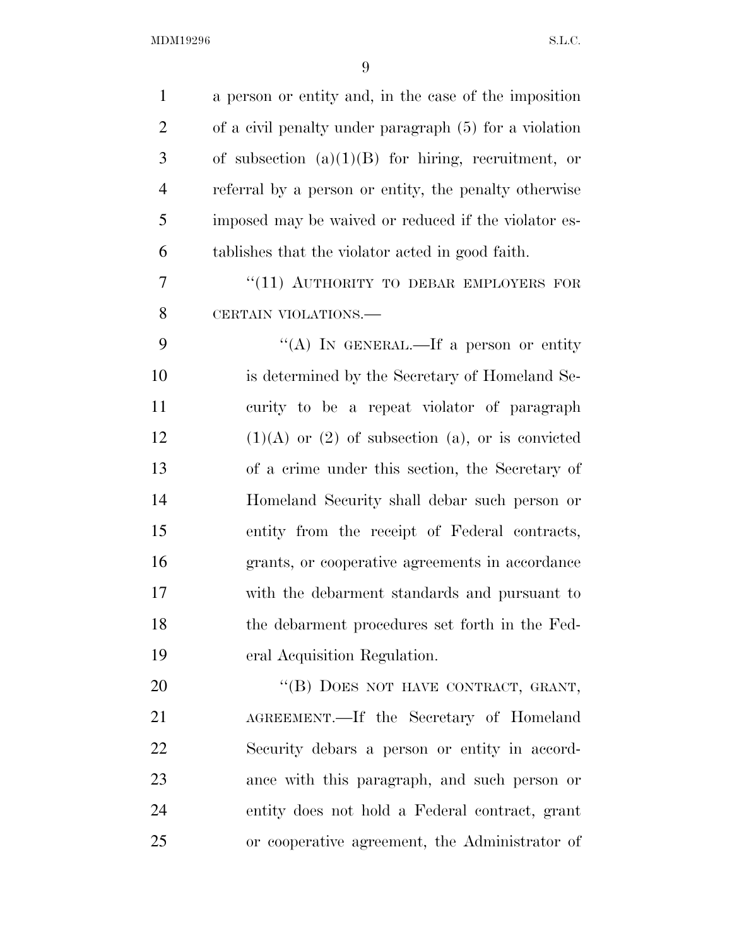| $\mathbf{1}$   | a person or entity and, in the case of the imposition   |
|----------------|---------------------------------------------------------|
| $\overline{2}$ | of a civil penalty under paragraph (5) for a violation  |
| 3              | of subsection $(a)(1)(B)$ for hiring, recruitment, or   |
| $\overline{4}$ | referral by a person or entity, the penalty otherwise   |
| 5              | imposed may be waived or reduced if the violator es-    |
| 6              | tablishes that the violator acted in good faith.        |
| $\overline{7}$ | "(11) AUTHORITY TO DEBAR EMPLOYERS FOR                  |
| 8              | CERTAIN VIOLATIONS.                                     |
| 9              | "(A) IN GENERAL.—If a person or entity                  |
| 10             | is determined by the Secretary of Homeland Se-          |
| 11             | curity to be a repeat violator of paragraph             |
| 12             | $(1)(A)$ or $(2)$ of subsection $(a)$ , or is convicted |
| 13             | of a crime under this section, the Secretary of         |
| 14             | Homeland Security shall debar such person or            |
| 15             | entity from the receipt of Federal contracts,           |
| 16             | grants, or cooperative agreements in accordance         |
| 17             | with the debarment standards and pursuant to            |
| 18             | the debarment procedures set forth in the Fed-          |
| 19             | eral Acquisition Regulation.                            |
| 20             | "(B) DOES NOT HAVE CONTRACT, GRANT,                     |
| 21             | AGREEMENT.—If the Secretary of Homeland                 |
| 22             | Security debars a person or entity in accord-           |
| 23             | ance with this paragraph, and such person or            |
| 24             | entity does not hold a Federal contract, grant          |
| 25             | or cooperative agreement, the Administrator of          |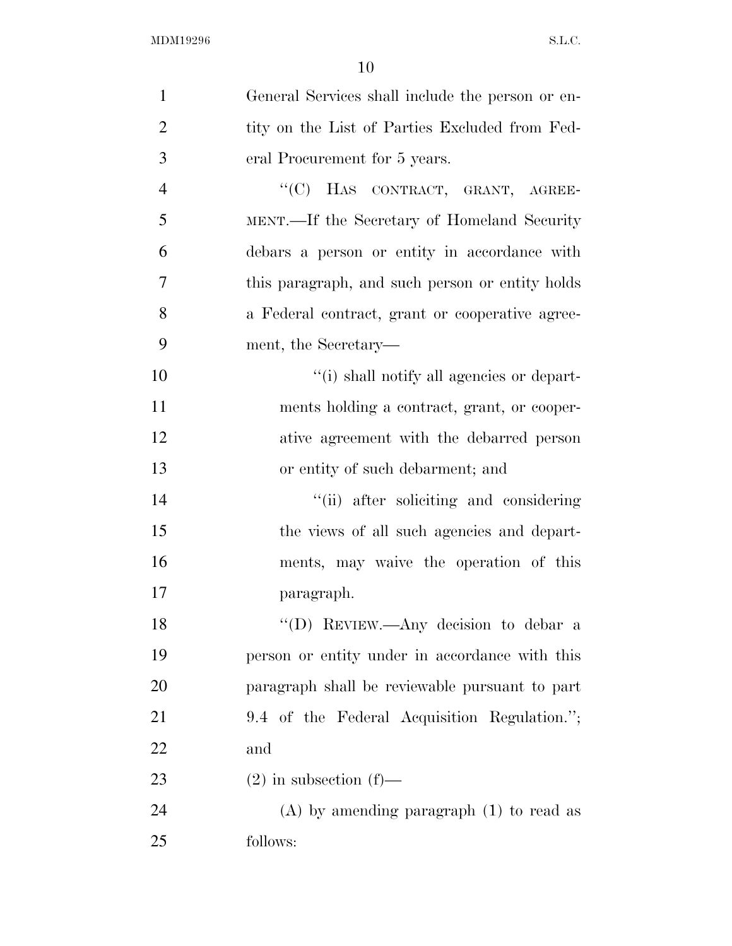| $\mathbf{1}$   | General Services shall include the person or en- |
|----------------|--------------------------------------------------|
| $\overline{2}$ | tity on the List of Parties Excluded from Fed-   |
| 3              | eral Procurement for 5 years.                    |
| $\overline{4}$ | "(C) HAS CONTRACT, GRANT, AGREE-                 |
| 5              | MENT.—If the Secretary of Homeland Security      |
| 6              | debars a person or entity in accordance with     |
| 7              | this paragraph, and such person or entity holds  |
| 8              | a Federal contract, grant or cooperative agree-  |
| 9              | ment, the Secretary—                             |
| 10             | "(i) shall notify all agencies or depart-        |
| 11             | ments holding a contract, grant, or cooper-      |
| 12             | ative agreement with the debarred person         |
| 13             | or entity of such debarment; and                 |
| 14             | "(ii) after soliciting and considering           |
| 15             | the views of all such agencies and depart-       |
| 16             | ments, may waive the operation of this           |
| 17             | paragraph.                                       |
| 18             | "(D) REVIEW.—Any decision to debar a             |
| 19             | person or entity under in accordance with this   |
| 20             | paragraph shall be reviewable pursuant to part   |
| 21             | 9.4 of the Federal Acquisition Regulation.";     |
| 22             | and                                              |
| 23             | $(2)$ in subsection $(f)$ —                      |
| 24             | $(A)$ by amending paragraph $(1)$ to read as     |
| 25             | follows:                                         |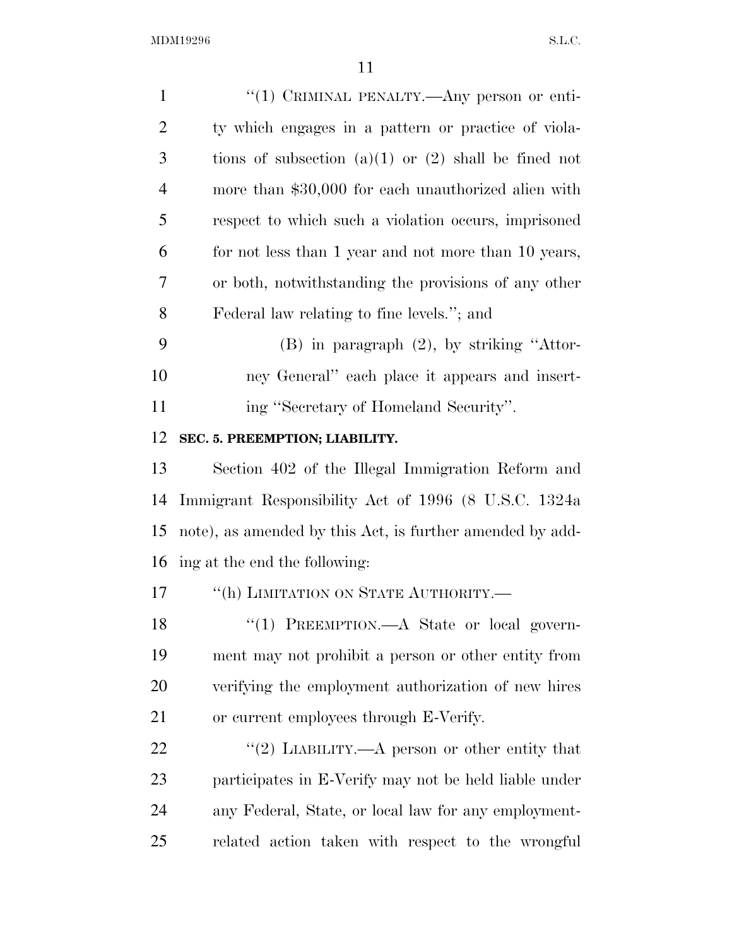| $\mathbf{1}$   | "(1) CRIMINAL PENALTY.—Any person or enti-                |
|----------------|-----------------------------------------------------------|
| $\overline{2}$ | ty which engages in a pattern or practice of viola-       |
| 3              | tions of subsection (a)(1) or (2) shall be fined not      |
| $\overline{4}$ | more than \$30,000 for each unauthorized alien with       |
| 5              | respect to which such a violation occurs, imprisoned      |
| 6              | for not less than 1 year and not more than 10 years,      |
| 7              | or both, notwithstanding the provisions of any other      |
| 8              | Federal law relating to fine levels."; and                |
| 9              | $(B)$ in paragraph $(2)$ , by striking "Attor-            |
| 10             | ney General" each place it appears and insert-            |
| 11             | ing "Secretary of Homeland Security".                     |
| 12             | SEC. 5. PREEMPTION; LIABILITY.                            |
| 13             | Section 402 of the Illegal Immigration Reform and         |
| 14             | Immigrant Responsibility Act of 1996 (8 U.S.C. 1324a)     |
| 15             | note), as amended by this Act, is further amended by add- |
| 16             | ing at the end the following:                             |
| 17             | "(h) LIMITATION ON STATE AUTHORITY.-                      |
| 18             | "(1) PREEMPTION.—A State or local govern-                 |
| 19             | ment may not prohibit a person or other entity from       |
| 20             | verifying the employment authorization of new hires       |
| 21             | or current employees through E-Verify.                    |
| 22             | "(2) LIABILITY.—A person or other entity that             |
| 23             | participates in E-Verify may not be held liable under     |
| 24             | any Federal, State, or local law for any employment-      |
| 25             | related action taken with respect to the wrongful         |
|                |                                                           |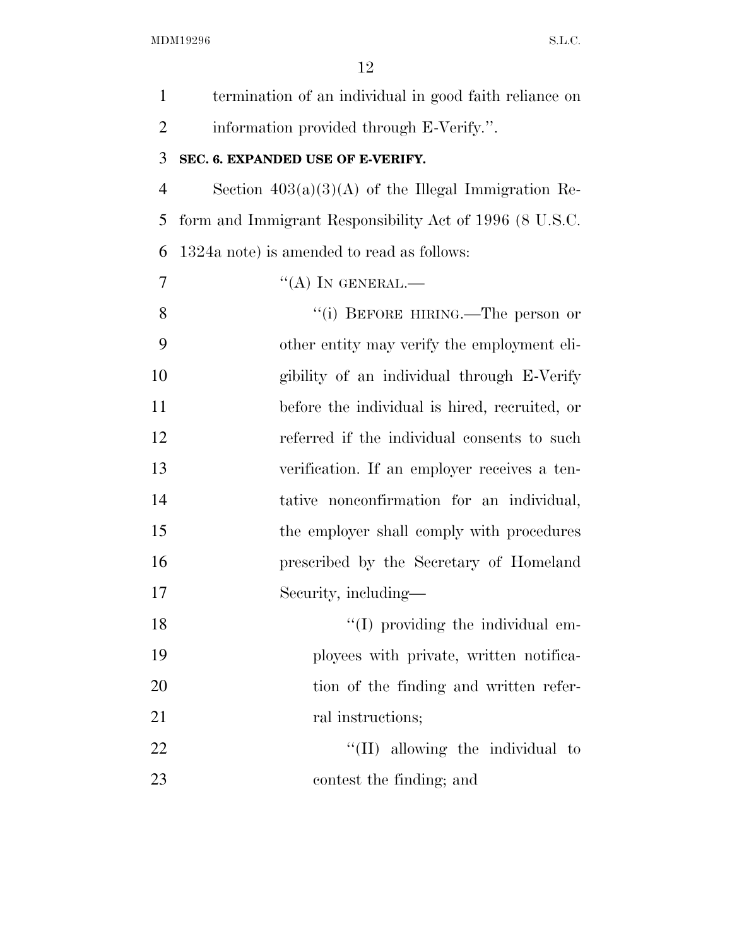| $\mathbf{1}$   | termination of an individual in good faith reliance on  |
|----------------|---------------------------------------------------------|
| $\overline{2}$ | information provided through E-Verify.".                |
| 3              | SEC. 6. EXPANDED USE OF E-VERIFY.                       |
| $\overline{4}$ | Section $403(a)(3)(A)$ of the Illegal Immigration Re-   |
| 5              | form and Immigrant Responsibility Act of 1996 (8 U.S.C. |
| 6              | 1324a note) is amended to read as follows:              |
| 7              | "(A) IN GENERAL.—                                       |
| 8              | "(i) BEFORE HIRING.—The person or                       |
| 9              | other entity may verify the employment eli-             |
| 10             | gibility of an individual through E-Verify              |
| 11             | before the individual is hired, recruited, or           |
| 12             | referred if the individual consents to such             |
| 13             | verification. If an employer receives a ten-            |
| 14             | tative nonconfirmation for an individual,               |
| 15             | the employer shall comply with procedures               |
| 16             | prescribed by the Secretary of Homeland                 |
| 17             | Security, including—                                    |
| 18             | $\lq (I)$ providing the individual em-                  |
| 19             | ployees with private, written notifica-                 |
| 20             | tion of the finding and written refer-                  |
| 21             | ral instructions;                                       |
| 22             | $\lq\lq$ (II) allowing the individual to                |
| 23             | contest the finding; and                                |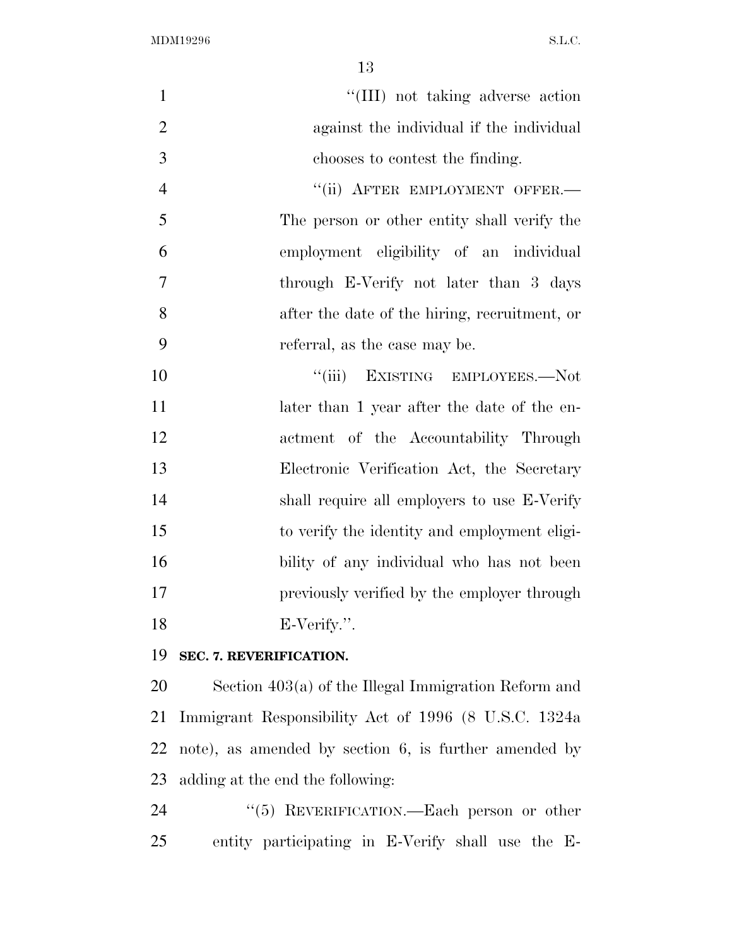| $\mathbf{1}$   | "(III) not taking adverse action              |
|----------------|-----------------------------------------------|
| $\overline{2}$ | against the individual if the individual      |
| 3              | chooses to contest the finding.               |
| $\overline{4}$ | "(ii) AFTER EMPLOYMENT OFFER.-                |
| 5              | The person or other entity shall verify the   |
| 6              | employment eligibility of an individual       |
| $\overline{7}$ | through E-Verify not later than 3 days        |
| 8              | after the date of the hiring, recruitment, or |
| 9              | referral, as the case may be.                 |
| 10             | EXISTING EMPLOYEES.-Not<br>``(iii)            |
| 11             | later than 1 year after the date of the en-   |
| 12             | actment of the Accountability Through         |
| 13             | Electronic Verification Act, the Secretary    |

**SEC. 7. REVERIFICATION.** 

E-Verify.''.

 Section 403(a) of the Illegal Immigration Reform and Immigrant Responsibility Act of 1996 (8 U.S.C. 1324a note), as amended by section 6, is further amended by adding at the end the following:

shall require all employers to use E-Verify

to verify the identity and employment eligi-

bility of any individual who has not been

previously verified by the employer through

24 "(5) REVERIFICATION.—Each person or other entity participating in E-Verify shall use the E-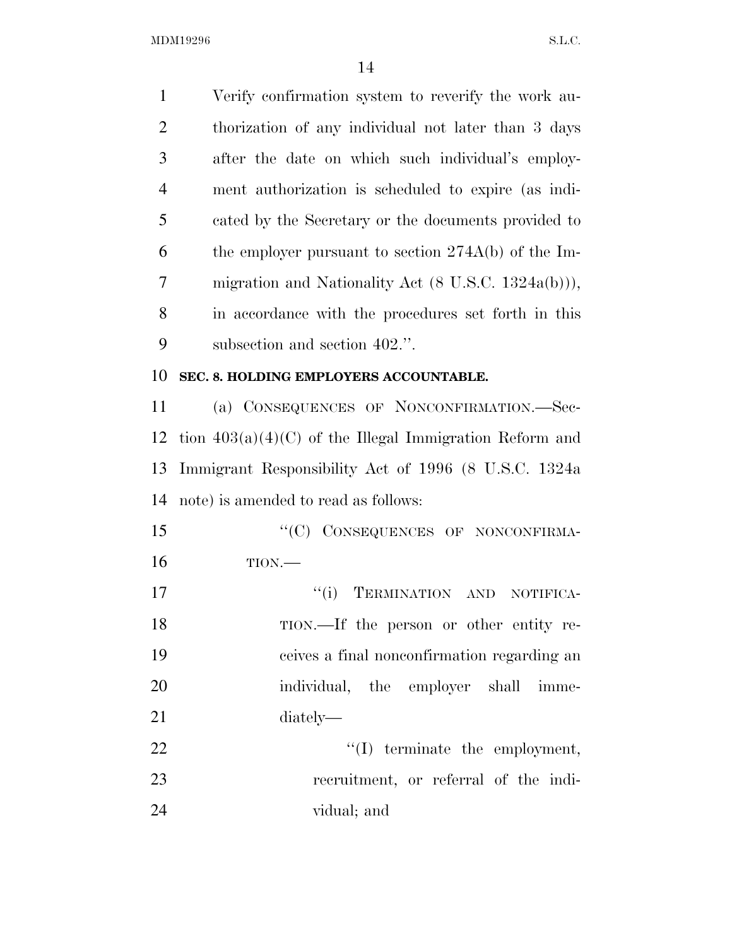| $\mathbf{1}$   | Verify confirmation system to reverify the work au-            |
|----------------|----------------------------------------------------------------|
| $\overline{2}$ | thorization of any individual not later than 3 days            |
| 3              | after the date on which such individual's employ-              |
| $\overline{4}$ | ment authorization is scheduled to expire (as indi-            |
| 5              | cated by the Secretary or the documents provided to            |
| 6              | the employer pursuant to section $274A(b)$ of the Im-          |
| 7              | migration and Nationality Act $(8 \text{ U.S.C. } 1324a(b))),$ |
| 8              | in accordance with the procedures set forth in this            |
| 9              | subsection and section 402.".                                  |
| 10             | SEC. 8. HOLDING EMPLOYERS ACCOUNTABLE.                         |
| 11             | (a) CONSEQUENCES OF NONCONFIRMATION.-Sec-                      |
| 12             | tion $403(a)(4)(C)$ of the Illegal Immigration Reform and      |
| 13             | Immigrant Responsibility Act of 1996 (8 U.S.C. 1324a           |
| 14             | note) is amended to read as follows:                           |
| 15             | "(C) CONSEQUENCES OF NONCONFIRMA-                              |
| 16             | TION.                                                          |
| 17             | ``(i)<br>TERMINATION AND<br>NOTIFICA-                          |
| 18             | TION.—If the person or other entity re-                        |
| 19             | ceives a final nonconfirmation regarding an                    |
| 20             | individual, the employer shall imme-                           |
| 21             | diately—                                                       |
| 22             | $\lq\lq$ (I) terminate the employment,                         |
| 23             | recruitment, or referral of the indi-                          |
|                |                                                                |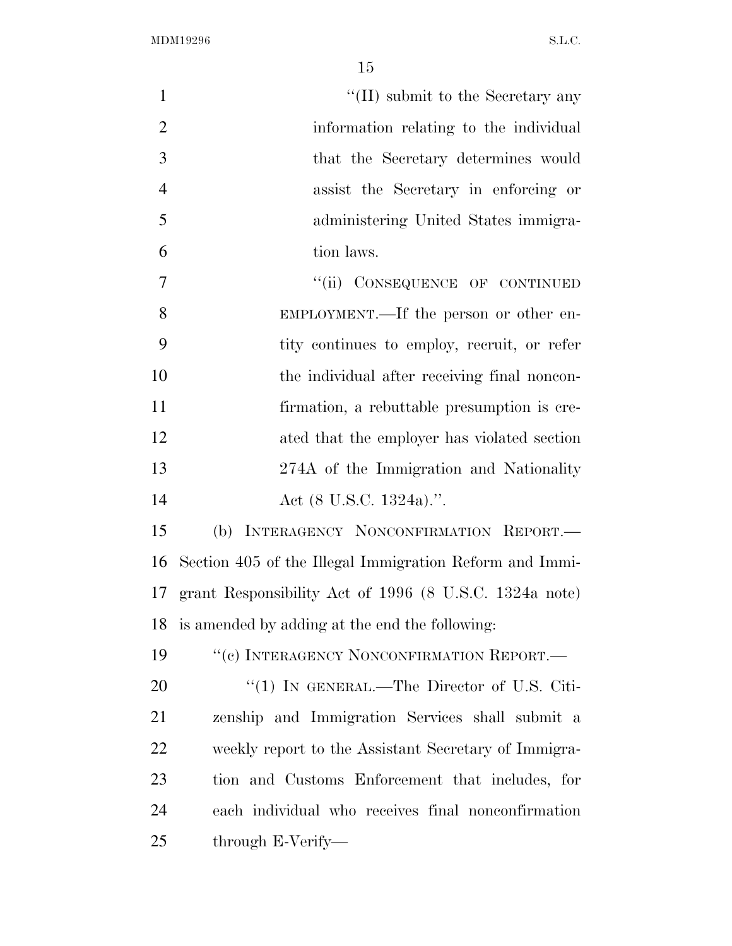| $\mathbf{1}$   | $\lq\lq$ (II) submit to the Secretary any                 |
|----------------|-----------------------------------------------------------|
| $\overline{2}$ | information relating to the individual                    |
| 3              | that the Secretary determines would                       |
| $\overline{4}$ | assist the Secretary in enforcing or                      |
| 5              | administering United States immigra-                      |
| 6              | tion laws.                                                |
| $\overline{7}$ | "(ii) CONSEQUENCE OF CONTINUED                            |
| 8              | EMPLOYMENT.—If the person or other en-                    |
| 9              | tity continues to employ, recruit, or refer               |
| 10             | the individual after receiving final noncon-              |
| 11             | firmation, a rebuttable presumption is cre-               |
| 12             | ated that the employer has violated section               |
| 13             | 274A of the Immigration and Nationality                   |
| 14             | Act $(8 \text{ U.S.C. } 1324a)$ .".                       |
| 15             | (b) INTERAGENCY NONCONFIRMATION REPORT.                   |
| 16             | Section 405 of the Illegal Immigration Reform and Immi-   |
|                | 17 grant Responsibility Act of 1996 (8 U.S.C. 1324a note) |
| 18             | is amended by adding at the end the following:            |
| 19             | "(c) INTERAGENCY NONCONFIRMATION REPORT.—                 |
| 20             | " $(1)$ IN GENERAL.—The Director of U.S. Citi-            |
| 21             | zenship and Immigration Services shall submit a           |
| 22             | weekly report to the Assistant Secretary of Immigra-      |
| 23             | tion and Customs Enforcement that includes, for           |
| 24             | each individual who receives final nonconfirmation        |
| 25             | through E-Verify-                                         |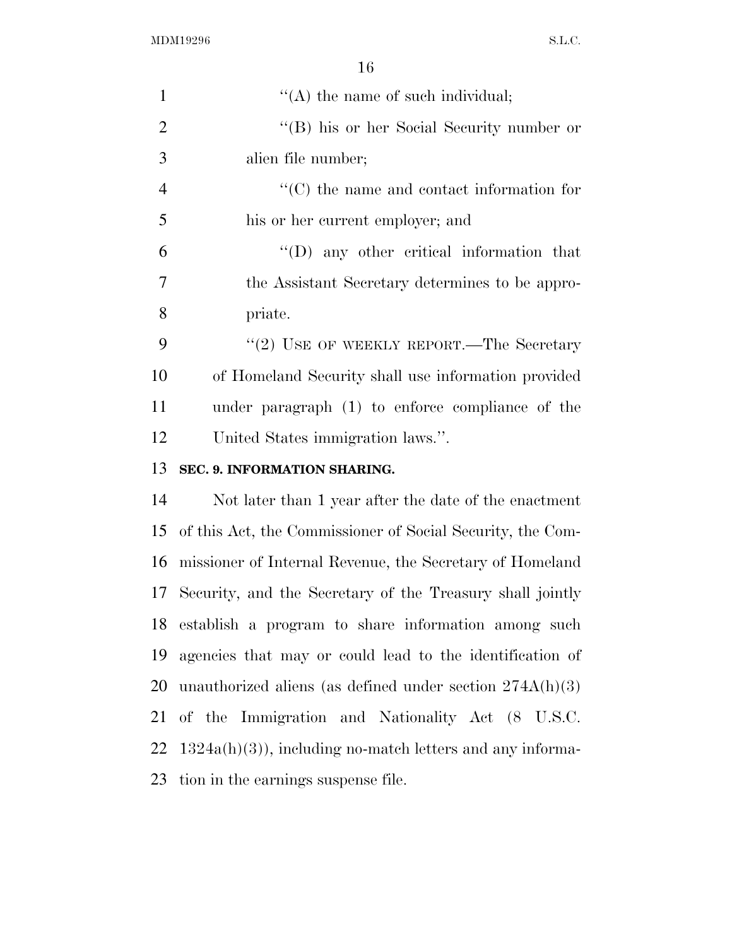| 1              | $\lq\lq$ the name of such individual;                        |
|----------------|--------------------------------------------------------------|
| $\overline{2}$ | "(B) his or her Social Security number or                    |
| 3              | alien file number;                                           |
| $\overline{4}$ | $\lq\lq$ (C) the name and contact information for            |
| 5              | his or her current employer; and                             |
| 6              | $\lq\lq$ (D) any other critical information that             |
| 7              | the Assistant Secretary determines to be appro-              |
| 8              | priate.                                                      |
| 9              | $"$ (2) USE OF WEEKLY REPORT.—The Secretary                  |
| 10             | of Homeland Security shall use information provided          |
| 11             | under paragraph (1) to enforce compliance of the             |
| 12             | United States immigration laws.".                            |
| 13             | SEC. 9. INFORMATION SHARING.                                 |
| 14             | Not later than 1 year after the date of the enactment        |
| 15             | of this Act, the Commissioner of Social Security, the Com-   |
| 16             | missioner of Internal Revenue, the Secretary of Homeland     |
|                | 17 Security, and the Secretary of the Treasury shall jointly |
| 18             | establish a program to share information among such          |
| 19             | agencies that may or could lead to the identification of     |
| 20             | unauthorized aliens (as defined under section $274A(h)(3)$ ) |
| 21             | of the Immigration and Nationality Act (8 U.S.C.             |
| 22             | $1324a(h)(3)$ , including no-match letters and any informa-  |
| 23             | tion in the earnings suspense file.                          |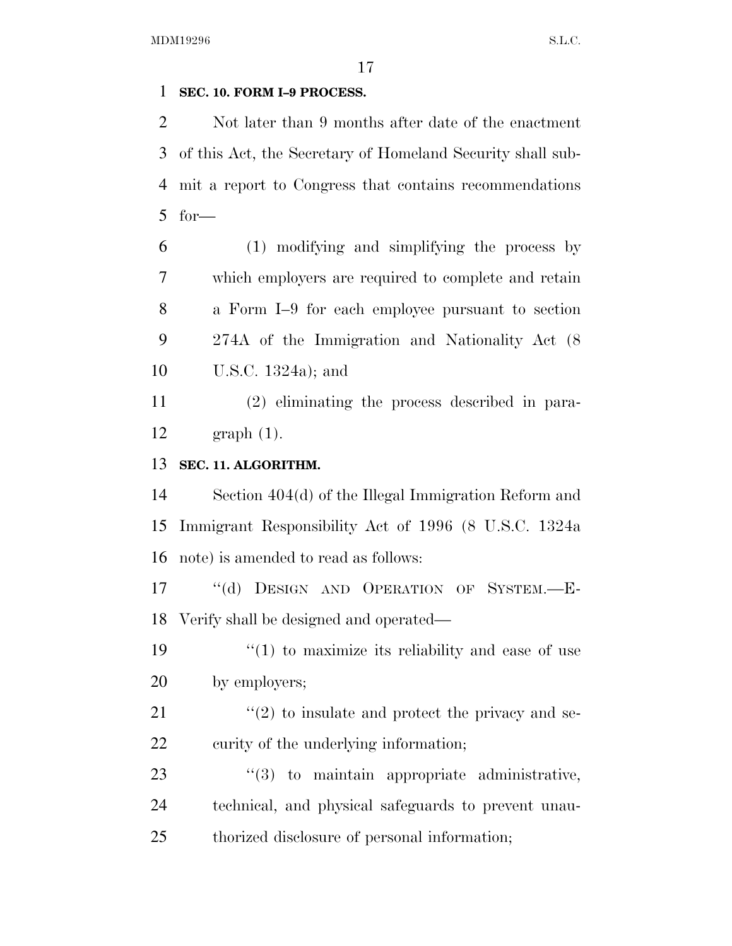## **SEC. 10. FORM I–9 PROCESS.**

 Not later than 9 months after date of the enactment of this Act, the Secretary of Homeland Security shall sub- mit a report to Congress that contains recommendations for—

 (1) modifying and simplifying the process by which employers are required to complete and retain a Form I–9 for each employee pursuant to section 274A of the Immigration and Nationality Act (8 U.S.C. 1324a); and

 (2) eliminating the process described in para-graph (1).

# **SEC. 11. ALGORITHM.**

 Section 404(d) of the Illegal Immigration Reform and Immigrant Responsibility Act of 1996 (8 U.S.C. 1324a note) is amended to read as follows:

 ''(d) DESIGN AND OPERATION OF SYSTEM.—E-Verify shall be designed and operated—

19  $\frac{1}{2}$  (1) to maximize its reliability and ease of use by employers;

21  $\langle \langle 2 \rangle$  to insulate and protect the privacy and se-22 curity of the underlying information;

23  $\frac{1}{3}$  to maintain appropriate administrative, technical, and physical safeguards to prevent unau-thorized disclosure of personal information;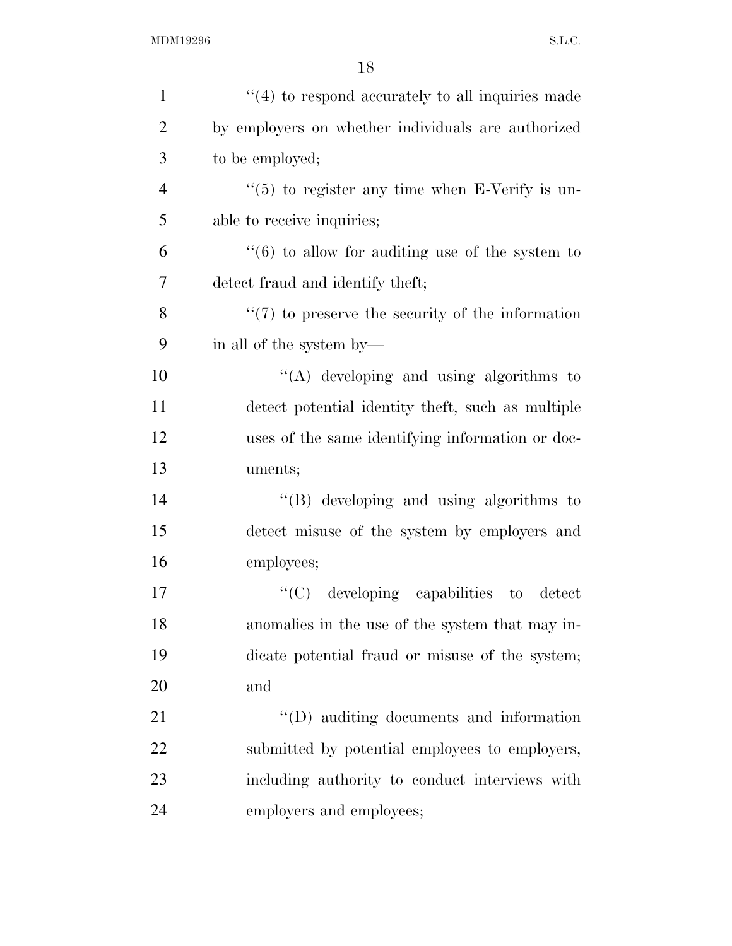| $\mathbf{1}$   | $"(4)$ to respond accurately to all inquiries made          |
|----------------|-------------------------------------------------------------|
| $\overline{2}$ | by employers on whether individuals are authorized          |
| 3              | to be employed;                                             |
| $\overline{4}$ | $\cdot\cdot$ (5) to register any time when E-Verify is un-  |
| 5              | able to receive inquiries;                                  |
| 6              | $\cdot\cdot$ (6) to allow for auditing use of the system to |
| 7              | detect fraud and identify theft;                            |
| 8              | $\lq(7)$ to preserve the security of the information        |
| 9              | in all of the system by—                                    |
| 10             | "(A) developing and using algorithms to                     |
| 11             | detect potential identity theft, such as multiple           |
| 12             | uses of the same identifying information or doc-            |
| 13             | uments;                                                     |
| 14             | $\lq\lq$ developing and using algorithms to                 |
| 15             | detect misuse of the system by employers and                |
| 16             | employees;                                                  |
| 17             | $\lq\lq$ (C) developing capabilities to<br>detect           |
| 18             | anomalies in the use of the system that may in-             |
| 19             | dicate potential fraud or misuse of the system;             |
| 20             | and                                                         |
| 21             | $\lq\lq$ (D) auditing documents and information             |
| 22             | submitted by potential employees to employers,              |
| 23             | including authority to conduct interviews with              |
| 24             | employers and employees;                                    |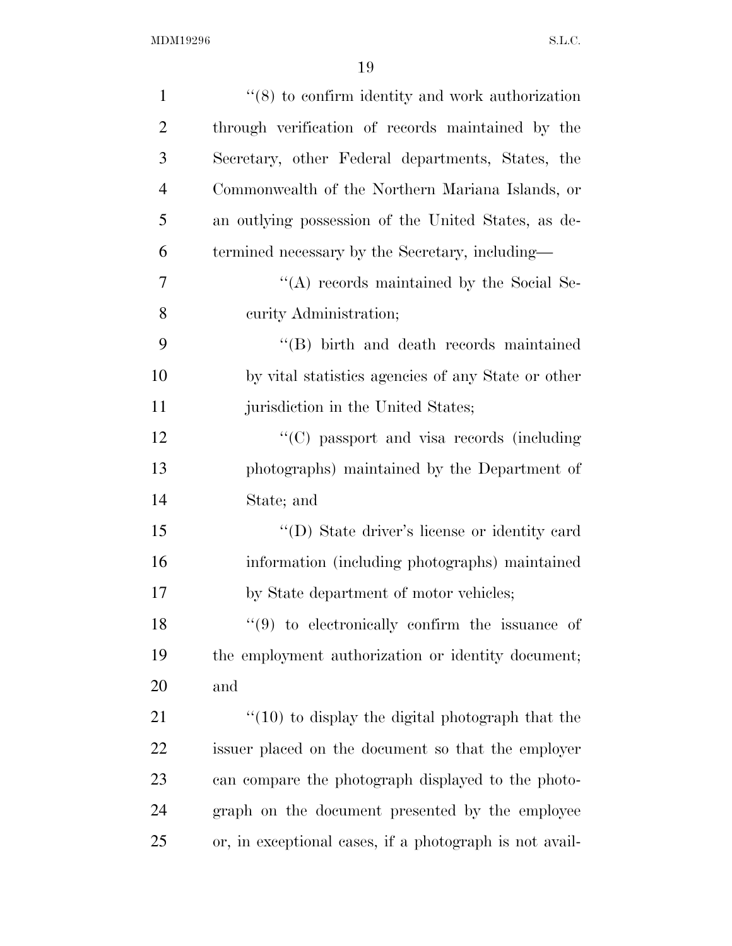| $\mathbf{1}$   | $\cdot$ (8) to confirm identity and work authorization  |
|----------------|---------------------------------------------------------|
| $\overline{2}$ | through verification of records maintained by the       |
| 3              | Secretary, other Federal departments, States, the       |
| $\overline{4}$ | Commonwealth of the Northern Mariana Islands, or        |
| 5              | an outlying possession of the United States, as de-     |
| 6              | termined necessary by the Secretary, including—         |
| 7              | "(A) records maintained by the Social Se-               |
| 8              | curity Administration;                                  |
| 9              | "(B) birth and death records maintained                 |
| 10             | by vital statistics agencies of any State or other      |
| 11             | jurisdiction in the United States;                      |
| 12             | "(C) passport and visa records (including               |
| 13             | photographs) maintained by the Department of            |
| 14             | State; and                                              |
| 15             | "(D) State driver's license or identity card            |
| 16             | information (including photographs) maintained          |
| 17             | by State department of motor vehicles;                  |
| 18             | $(9)$ to electronically confirm the issuance of         |
| 19             | the employment authorization or identity document;      |
| 20             | and                                                     |
| 21             | $"(10)$ to display the digital photograph that the      |
| 22             | issuer placed on the document so that the employer      |
| 23             | can compare the photograph displayed to the photo-      |
| 24             | graph on the document presented by the employee         |
| 25             | or, in exceptional cases, if a photograph is not avail- |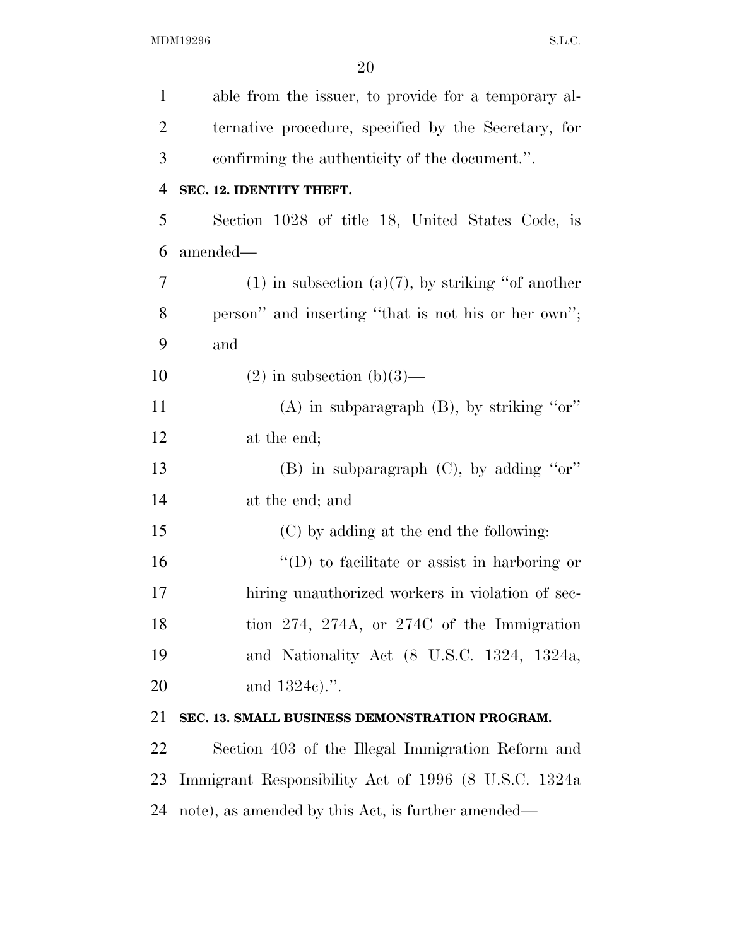| $\mathbf{1}$   | able from the issuer, to provide for a temporary al-   |
|----------------|--------------------------------------------------------|
| $\overline{2}$ | ternative procedure, specified by the Secretary, for   |
| 3              | confirming the authenticity of the document.".         |
| $\overline{4}$ | SEC. 12. IDENTITY THEFT.                               |
| 5              | Section 1028 of title 18, United States Code, is       |
| 6              | amended-                                               |
| 7              | $(1)$ in subsection $(a)(7)$ , by striking "of another |
| 8              | person" and inserting "that is not his or her own";    |
| 9              | and                                                    |
| 10             | $(2)$ in subsection $(b)(3)$ —                         |
| 11             | $(A)$ in subparagraph $(B)$ , by striking "or"         |
| 12             | at the end;                                            |
| 13             | $(B)$ in subparagraph $(C)$ , by adding "or"           |
| 14             | at the end; and                                        |
| 15             | (C) by adding at the end the following:                |
| 16             | $\lq\lq$ to facilitate or assist in harboring or       |
| 17             | hiring unauthorized workers in violation of sec-       |
| 18             | tion 274, 274A, or 274C of the Immigration             |
| 19             | and Nationality Act (8 U.S.C. 1324, 1324a,             |
| 20             | and 1324c).".                                          |
| 21             | SEC. 13. SMALL BUSINESS DEMONSTRATION PROGRAM.         |
| 22             | Section 403 of the Illegal Immigration Reform and      |
| 23             | Immigrant Responsibility Act of 1996 (8 U.S.C. 1324a)  |
| 24             | note), as amended by this Act, is further amended—     |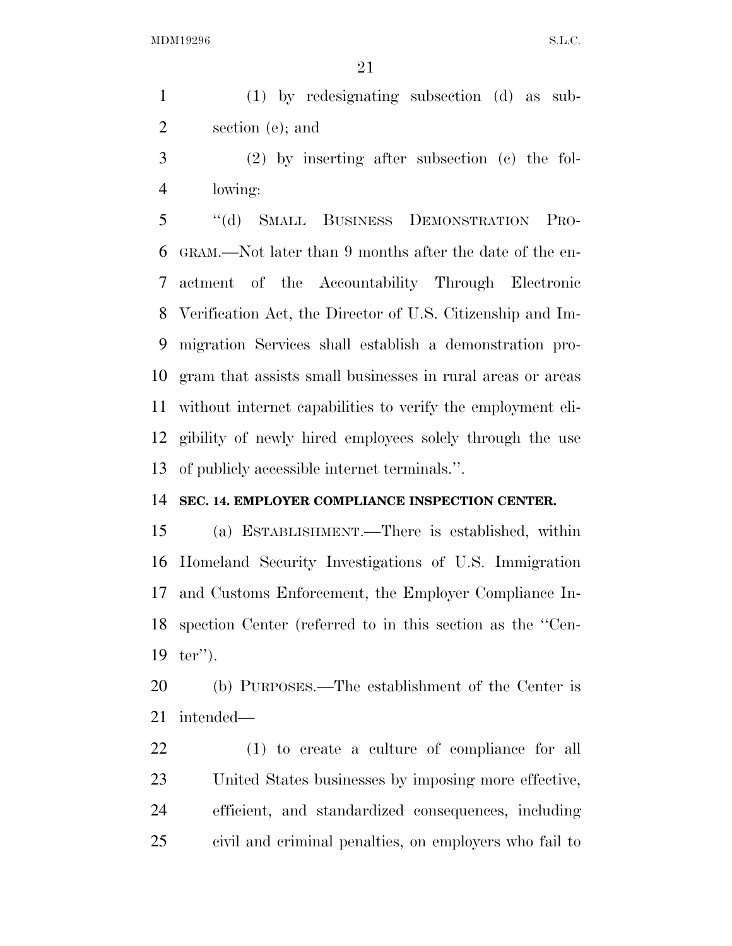(1) by redesignating subsection (d) as sub-section (e); and

 (2) by inserting after subsection (c) the fol-lowing:

 ''(d) SMALL BUSINESS DEMONSTRATION PRO- GRAM.—Not later than 9 months after the date of the en- actment of the Accountability Through Electronic Verification Act, the Director of U.S. Citizenship and Im- migration Services shall establish a demonstration pro- gram that assists small businesses in rural areas or areas without internet capabilities to verify the employment eli- gibility of newly hired employees solely through the use of publicly accessible internet terminals.''.

## **SEC. 14. EMPLOYER COMPLIANCE INSPECTION CENTER.**

 (a) ESTABLISHMENT.—There is established, within Homeland Security Investigations of U.S. Immigration and Customs Enforcement, the Employer Compliance In- spection Center (referred to in this section as the ''Cen-ter'').

 (b) PURPOSES.—The establishment of the Center is intended—

 (1) to create a culture of compliance for all United States businesses by imposing more effective, efficient, and standardized consequences, including civil and criminal penalties, on employers who fail to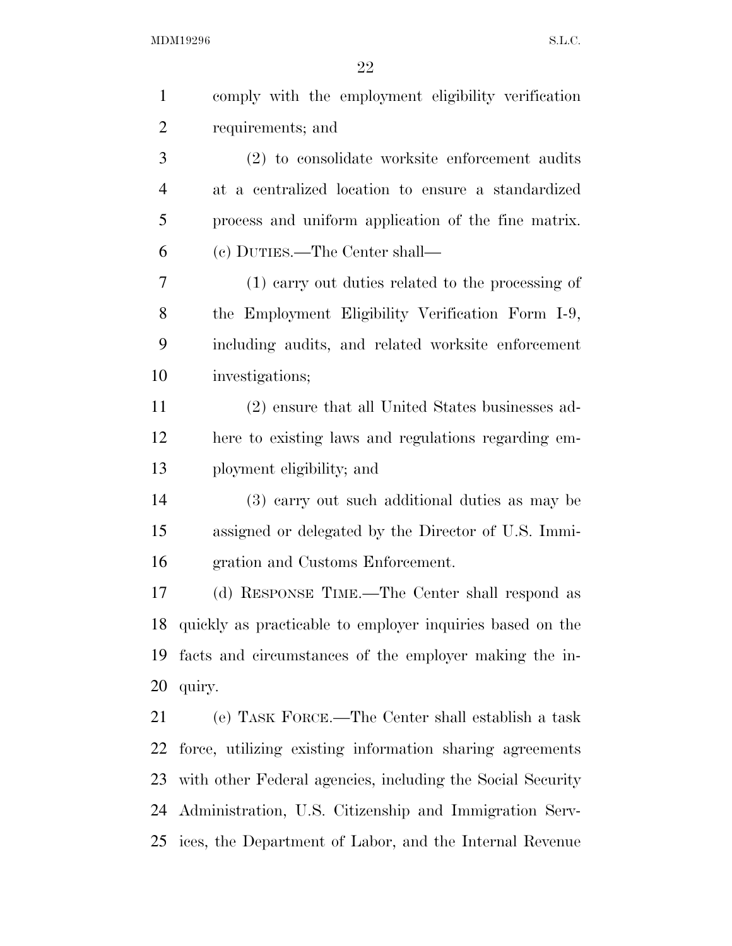| $\mathbf{1}$   | comply with the employment eligibility verification        |
|----------------|------------------------------------------------------------|
| $\overline{2}$ | requirements; and                                          |
| 3              | (2) to consolidate worksite enforcement audits             |
| 4              | at a centralized location to ensure a standardized         |
| 5              | process and uniform application of the fine matrix.        |
| 6              | (c) DUTIES.—The Center shall—                              |
| 7              | (1) earry out duties related to the processing of          |
| 8              | the Employment Eligibility Verification Form I-9,          |
| 9              | including audits, and related worksite enforcement         |
| 10             | investigations;                                            |
| 11             | (2) ensure that all United States businesses ad-           |
| 12             | here to existing laws and regulations regarding em-        |
| 13             | ployment eligibility; and                                  |
| 14             | (3) carry out such additional duties as may be             |
| 15             | assigned or delegated by the Director of U.S. Immi-        |
| 16             | gration and Customs Enforcement.                           |
| 17             | (d) RESPONSE TIME.—The Center shall respond as             |
| 18             | quickly as practicable to employer inquiries based on the  |
| 19             | facts and circumstances of the employer making the in-     |
| 20             | quiry.                                                     |
| 21             | (e) TASK FORCE.—The Center shall establish a task          |
| 22             | force, utilizing existing information sharing agreements   |
| 23             | with other Federal agencies, including the Social Security |
| 24             | Administration, U.S. Citizenship and Immigration Serv-     |
| 25             | ices, the Department of Labor, and the Internal Revenue    |